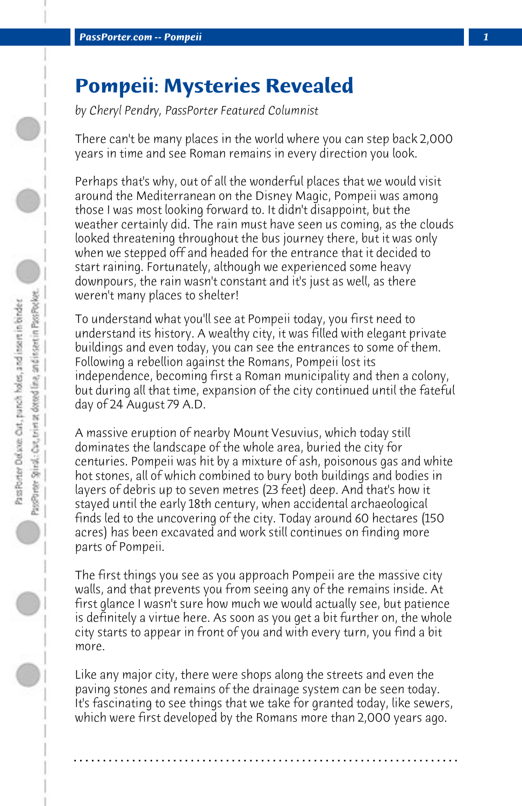## **Pompeii: Mysteries Revealed**

*by Cheryl Pendry, PassPorter Featured Columnist*

There can't be many places in the world where you can step back 2,000 years in time and see Roman remains in every direction you look.

Perhaps that's why, out of all the wonderful places that we would visit around the Mediterranean on the Disney Magic, Pompeii was among those I was most looking forward to. It didn't disappoint, but the weather certainly did. The rain must have seen us coming, as the clouds looked threatening throughout the bus journey there, but it was only when we stepped off and headed for the entrance that it decided to start raining. Fortunately, although we experienced some heavy downpours, the rain wasn't constant and it's just as well, as there weren't many places to shelter!

To understand what you'll see at Pompeii today, you first need to understand its history. A wealthy city, it was filled with elegant private buildings and even today, you can see the entrances to some of them. Following a rebellion against the Romans, Pompeii lost its independence, becoming first a Roman municipality and then a colony, but during all that time, expansion of the city continued until the fateful day of 24 August 79 A.D.

A massive eruption of nearby Mount Vesuvius, which today still dominates the landscape of the whole area, buried the city for centuries. Pompeii was hit by a mixture of ash, poisonous gas and white hot stones, all of which combined to bury both buildings and bodies in layers of debris up to seven metres (23 feet) deep. And that's how it stayed until the early 18th century, when accidental archaeological finds led to the uncovering of the city. Today around 60 hectares (150 acres) has been excavated and work still continues on finding more parts of Pompeii.

The first things you see as you approach Pompeii are the massive city walls, and that prevents you from seeing any of the remains inside. At first glance I wasn't sure how much we would actually see, but patience is definitely a virtue here. As soon as you get a bit further on, the whole city starts to appear in front of you and with every turn, you find a bit more.

Like any major city, there were shops along the streets and even the paving stones and remains of the drainage system can be seen today. It's fascinating to see things that we take for granted today, like sewers, which were first developed by the Romans more than 2,000 years ago.

**. . . . . . . . . . . . . . . . . . . . . . . . . . . . . . . . . . . . . . . . . . . . . . . . . . . . . . . . . . . . . . . . . .**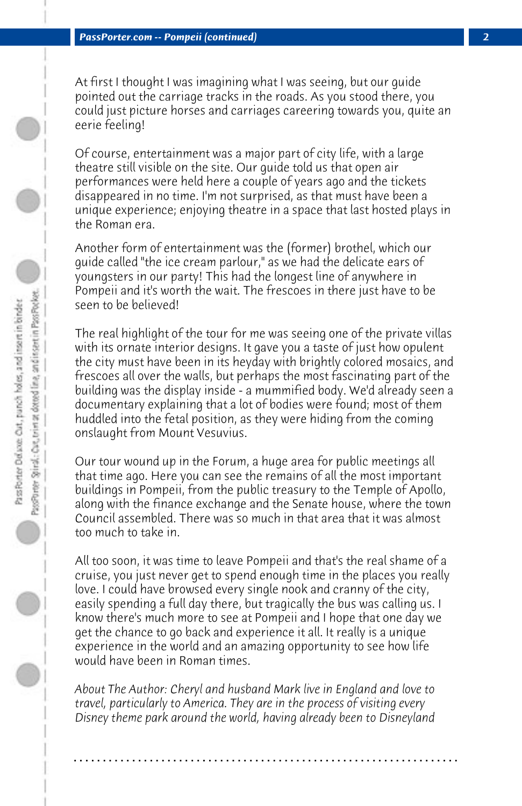At first I thought I was imagining what I was seeing, but our guide pointed out the carriage tracks in the roads. As you stood there, you could just picture horses and carriages careering towards you, quite an eerie feeling!

Of course, entertainment was a major part of city life, with a large theatre still visible on the site. Our guide told us that open air performances were held here a couple of years ago and the tickets disappeared in no time. I'm not surprised, as that must have been a unique experience; enjoying theatre in a space that last hosted plays in the Roman era.

Another form of entertainment was the (former) brothel, which our guide called "the ice cream parlour," as we had the delicate ears of youngsters in our party! This had the longest line of anywhere in Pompeii and it's worth the wait. The frescoes in there just have to be seen to be believed!

The real highlight of the tour for me was seeing one of the private villas with its ornate interior designs. It gave you a taste of just how opulent the city must have been in its heyday with brightly colored mosaics, and frescoes all over the walls, but perhaps the most fascinating part of the building was the display inside - a mummified body. We'd already seen a documentary explaining that a lot of bodies were found; most of them huddled into the fetal position, as they were hiding from the coming onslaught from Mount Vesuvius.

Our tour wound up in the Forum, a huge area for public meetings all that time ago. Here you can see the remains of all the most important buildings in Pompeii, from the public treasury to the Temple of Apollo, along with the finance exchange and the Senate house, where the town Council assembled. There was so much in that area that it was almost too much to take in.

All too soon, it was time to leave Pompeii and that's the real shame of a cruise, you just never get to spend enough time in the places you really love. I could have browsed every single nook and cranny of the city, easily spending a full day there, but tragically the bus was calling us. I know there's much more to see at Pompeii and I hope that one day we get the chance to go back and experience it all. It really is a unique experience in the world and an amazing opportunity to see how life would have been in Roman times.

*About The Author: Cheryl and husband Mark live in England and love to travel, particularly to America. They are in the process of visiting every Disney theme park around the world, having already been to Disneyland*

**. . . . . . . . . . . . . . . . . . . . . . . . . . . . . . . . . . . . . . . . . . . . . . . . . . . . . . . . . . . . . . . . . .**